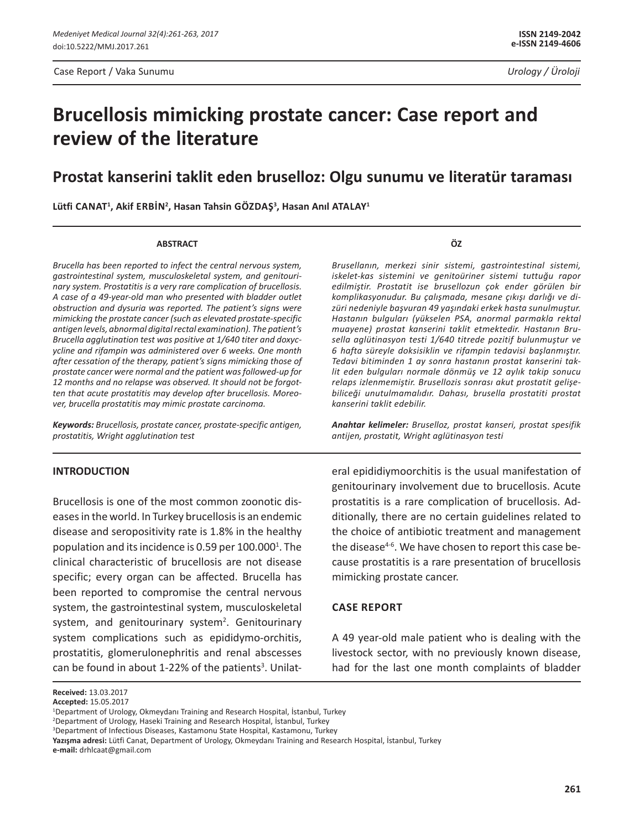# **Brucellosis mimicking prostate cancer: Case report and review of the literature**

## **Prostat kanserini taklit eden bruselloz: Olgu sunumu ve literatür taraması**

**Lütfi Canat1 , Akif Erbİn<sup>2</sup> , Hasan Tahsin Gözdaş<sup>3</sup> , Hasan Anıl Atalay1**

#### **ABSTRACT**

*Brucella has been reported to infect the central nervous system, gastrointestinal system, musculoskeletal system, and genitourinary system. Prostatitis is a very rare complication of brucellosis. A case of a 49-year-old man who presented with bladder outlet obstruction and dysuria was reported. The patient's signs were mimicking the prostate cancer (such as elevated prostate-specific antigen levels, abnormal digital rectal examination). The patient's Brucella agglutination test was positive at 1/640 titer and doxycycline and rifampin was administered over 6 weeks. One month after cessation of the therapy, patient's signs mimicking those of prostate cancer were normal and the patient was followed-up for 12 months and no relapse was observed. It should not be forgotten that acute prostatitis may develop after brucellosis. Moreover, brucella prostatitis may mimic prostate carcinoma.*

*Keywords: Brucellosis, prostate cancer, prostate-specific antigen, prostatitis, Wright agglutination test*

#### **INTRODUCTION**

Brucellosis is one of the most common zoonotic diseases in the world. In Turkey brucellosis is an endemic disease and seropositivity rate is 1.8% in the healthy population and its incidence is 0.59 per 100.000<sup>1</sup>. The clinical characteristic of brucellosis are not disease specific; every organ can be affected. Brucella has been reported to compromise the central nervous system, the gastrointestinal system, musculoskeletal system, and genitourinary system<sup>2</sup>. Genitourinary system complications such as epididymo-orchitis, prostatitis, glomerulonephritis and renal abscesses can be found in about 1-22% of the patients<sup>3</sup>. Unilat**ÖZ**

*Brusellanın, merkezi sinir sistemi, gastrointestinal sistemi, iskelet-kas sistemini ve genitoüriner sistemi tuttuğu rapor edilmiştir. Prostatit ise brusellozun çok ender görülen bir komplikasyonudur. Bu çalışmada, mesane çıkışı darlığı ve dizüri nedeniyle başvuran 49 yaşındaki erkek hasta sunulmuştur. Hastanın bulguları (yükselen PSA, anormal parmakla rektal muayene) prostat kanserini taklit etmektedir. Hastanın Brusella aglütinasyon testi 1/640 titrede pozitif bulunmuştur ve 6 hafta süreyle doksisiklin ve rifampin tedavisi başlanmıştır. Tedavi bitiminden 1 ay sonra hastanın prostat kanserini taklit eden bulguları normale dönmüş ve 12 aylık takip sonucu relaps izlenmemiştir. Brusellozis sonrası akut prostatit gelişebiliceği unutulmamalıdır. Dahası, brusella prostatiti prostat kanserini taklit edebilir.*

*Anahtar kelimeler: Bruselloz, prostat kanseri, prostat spesifik antijen, prostatit, Wright aglütinasyon testi*

eral epididiymoorchitis is the usual manifestation of genitourinary involvement due to brucellosis. Acute prostatitis is a rare complication of brucellosis. Additionally, there are no certain guidelines related to the choice of antibiotic treatment and management the disease<sup>4-6</sup>. We have chosen to report this case because prostatitis is a rare presentation of brucellosis mimicking prostate cancer.

### **Case report**

A 49 year-old male patient who is dealing with the livestock sector, with no previously known disease, had for the last one month complaints of bladder

**Received:** 13.03.2017

**Accepted:** 15.05.2017

<sup>1</sup> Department of Urology, Okmeydanı Training and Research Hospital, İstanbul, Turkey

<sup>2</sup> Department of Urology, Haseki Training and Research Hospital, İstanbul, Turkey

<sup>3</sup> Department of Infectious Diseases, Kastamonu State Hospital, Kastamonu, Turkey

**Yazışma adresi:** Lütfi Canat, Department of Urology, Okmeydanı Training and Research Hospital, İstanbul, Turkey **e-mail:** drhlcaat@gmail.com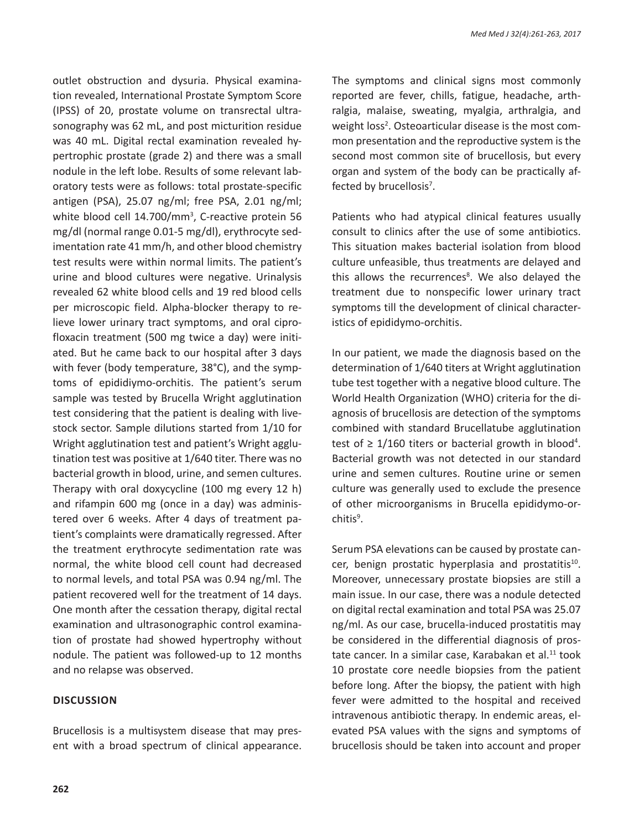outlet obstruction and dysuria. Physical examination revealed, International Prostate Symptom Score (IPSS) of 20, prostate volume on transrectal ultrasonography was 62 mL, and post micturition residue was 40 mL. Digital rectal examination revealed hypertrophic prostate (grade 2) and there was a small nodule in the left lobe. Results of some relevant laboratory tests were as follows: total prostate-specific antigen (PSA), 25.07 ng/ml; free PSA, 2.01 ng/ml; white blood cell 14.700/mm<sup>3</sup>, C-reactive protein 56 mg/dl (normal range 0.01-5 mg/dl), erythrocyte sedimentation rate 41 mm/h, and other blood chemistry test results were within normal limits. The patient's urine and blood cultures were negative. Urinalysis revealed 62 white blood cells and 19 red blood cells per microscopic field. Alpha-blocker therapy to relieve lower urinary tract symptoms, and oral ciprofloxacin treatment (500 mg twice a day) were initiated. But he came back to our hospital after 3 days with fever (body temperature, 38°C), and the symptoms of epididiymo-orchitis. The patient's serum sample was tested by Brucella Wright agglutination test considering that the patient is dealing with livestock sector. Sample dilutions started from 1/10 for Wright agglutination test and patient's Wright agglutination test was positive at 1/640 titer. There was no bacterial growth in blood, urine, and semen cultures. Therapy with oral doxycycline (100 mg every 12 h) and rifampin 600 mg (once in a day) was administered over 6 weeks. After 4 days of treatment patient's complaints were dramatically regressed. After the treatment erythrocyte sedimentation rate was normal, the white blood cell count had decreased to normal levels, and total PSA was 0.94 ng/ml. The patient recovered well for the treatment of 14 days. One month after the cessation therapy, digital rectal examination and ultrasonographic control examination of prostate had showed hypertrophy without nodule. The patient was followed-up to 12 months and no relapse was observed.

#### **Discussion**

Brucellosis is a multisystem disease that may present with a broad spectrum of clinical appearance. The symptoms and clinical signs most commonly reported are fever, chills, fatigue, headache, arthralgia, malaise, sweating, myalgia, arthralgia, and weight loss<sup>2</sup>. Osteoarticular disease is the most common presentation and the reproductive system is the second most common site of brucellosis, but every organ and system of the body can be practically affected by brucellosis<sup>7</sup>.

Patients who had atypical clinical features usually consult to clinics after the use of some antibiotics. This situation makes bacterial isolation from blood culture unfeasible, thus treatments are delayed and this allows the recurrences<sup>8</sup>. We also delayed the treatment due to nonspecific lower urinary tract symptoms till the development of clinical characteristics of epididymo-orchitis.

In our patient, we made the diagnosis based on the determination of 1/640 titers at Wright agglutination tube test together with a negative blood culture. The World Health Organization (WHO) criteria for the diagnosis of brucellosis are detection of the symptoms combined with standard Brucellatube agglutination test of  $\geq 1/160$  titers or bacterial growth in blood<sup>4</sup>. Bacterial growth was not detected in our standard urine and semen cultures. Routine urine or semen culture was generally used to exclude the presence of other microorganisms in Brucella epididymo-orchitis<sup>9</sup>.

Serum PSA elevations can be caused by prostate cancer, benign prostatic hyperplasia and prostatitis<sup>10</sup>. Moreover, unnecessary prostate biopsies are still a main issue. In our case, there was a nodule detected on digital rectal examination and total PSA was 25.07 ng/ml. As our case, brucella-induced prostatitis may be considered in the differential diagnosis of prostate cancer. In a similar case, Karabakan et al.<sup>11</sup> took 10 prostate core needle biopsies from the patient before long. After the biopsy, the patient with high fever were admitted to the hospital and received intravenous antibiotic therapy. In endemic areas, elevated PSA values with the signs and symptoms of brucellosis should be taken into account and proper